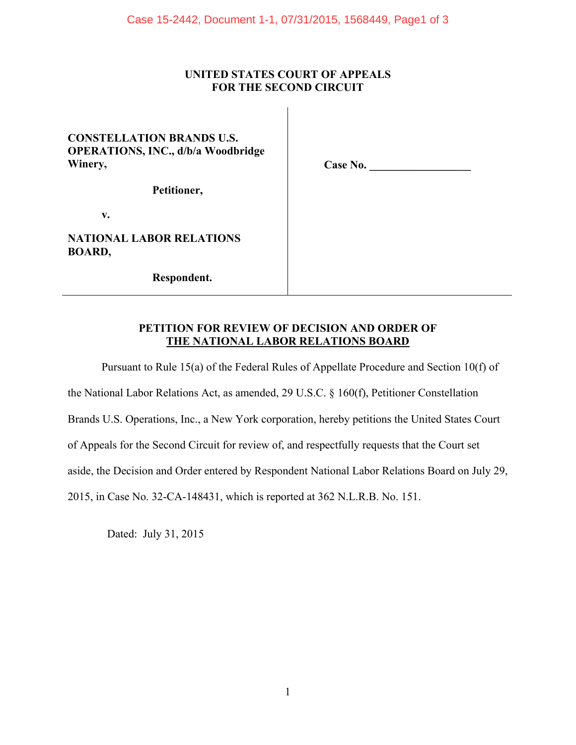### **UNITED STATES COURT OF APPEALS FOR THE SECOND CIRCUIT**

## **CONSTELLATION BRANDS U.S. OPERATIONS, INC., d/b/a Woodbridge Winery,**

**Case No. \_\_\_\_\_\_\_\_\_\_\_\_\_\_\_\_\_\_** 

**Petitioner,** 

**v.** 

**NATIONAL LABOR RELATIONS BOARD,** 

**Respondent.** 

#### **PETITION FOR REVIEW OF DECISION AND ORDER OF THE NATIONAL LABOR RELATIONS BOARD**

Pursuant to Rule 15(a) of the Federal Rules of Appellate Procedure and Section 10(f) of the National Labor Relations Act, as amended, 29 U.S.C. § 160(f), Petitioner Constellation Brands U.S. Operations, Inc., a New York corporation, hereby petitions the United States Court of Appeals for the Second Circuit for review of, and respectfully requests that the Court set aside, the Decision and Order entered by Respondent National Labor Relations Board on July 29, 2015, in Case No. 32-CA-148431, which is reported at 362 N.L.R.B. No. 151.

Dated: July 31, 2015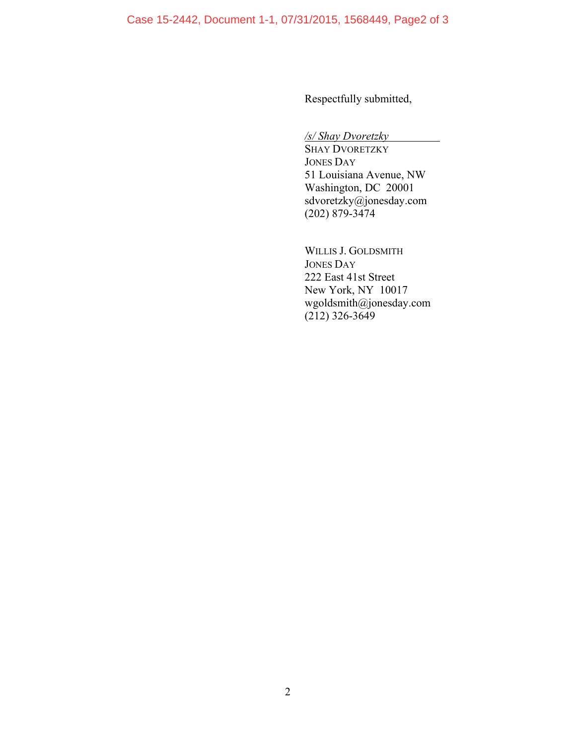Respectfully submitted,

*/s/ Shay Dvoretzky* 

SHAY DVORETZKY JONES DAY 51 Louisiana Avenue, NW Washington, DC 20001 sdvoretzky@jonesday.com (202) 879-3474

WILLIS J. GOLDSMITH JONES DAY 222 East 41st Street New York, NY 10017 wgoldsmith@jonesday.com  $(212)$  326-3649